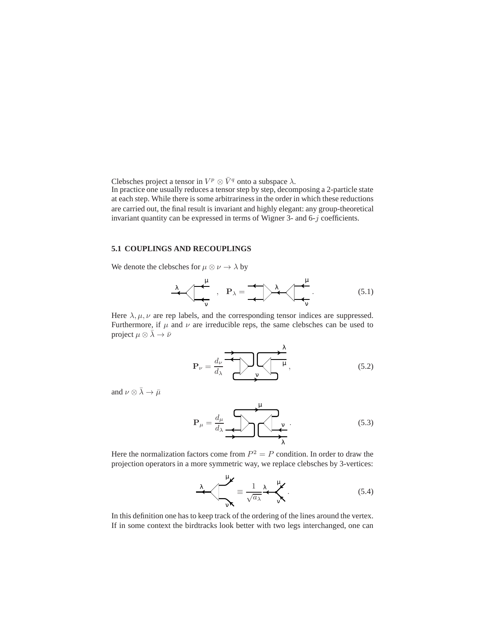Clebsches project a tensor in  $V^p \otimes \bar{V}^q$  onto a subspace  $\lambda$ .

In practice one usually reduces a tensor step by step, decomposing a 2-particle state at each step. While there is some arbitrarinessin the order in which these reductions are carried out, the final result is invariant and highly elegant: any group-theoretical invariant quantity can be expressed in terms of Wigner 3- and 6-j coefficients.

## **5.1 COUPLINGS AND RECOUPLINGS**

We denote the clebsches for  $\mu \otimes \nu \rightarrow \lambda$  by

$$
\lambda \sim \frac{\mu}{\sqrt{2}} \quad , \quad P_{\lambda} = \frac{1}{\sqrt{2}} \lambda \sim \frac{\mu}{\sqrt{2}} \tag{5.1}
$$

Here  $\lambda, \mu, \nu$  are rep labels, and the corresponding tensor indices are suppressed. Furthermore, if  $\mu$  and  $\nu$  are irreducible reps, the same clebsches can be used to project  $\mu \otimes \overline{\lambda} \rightarrow \overline{\nu}$ 

$$
\mathbf{P}_{\nu} = \frac{d_{\nu}}{d_{\lambda}} \underbrace{\mathbf{P}_{\nu}}_{\mathbf{y}} \underbrace{\mathbf{P}_{\nu}}_{\mathbf{y}} \tag{5.2}
$$

and  $\nu \otimes \bar{\lambda} \rightarrow \bar{\mu}$ 

$$
\mathbf{P}_{\mu} = \frac{d_{\mu}}{d_{\lambda}} \underbrace{\mathbf{P}_{\mu}}_{\lambda} \underbrace{\mathbf{P}_{\nu}}_{\lambda} \tag{5.3}
$$

Here the normalization factors come from  $P^2 = P$  condition. In order to draw the projection operators in a more symmetric way, we replace clebsches by 3-vertices:

$$
\frac{\lambda}{\sqrt{\lambda}} = \frac{1}{\sqrt{a_{\lambda}}} \frac{\lambda}{\sqrt{\lambda}}.
$$
\n(5.4)

In this definition one has to keep track of the ordering of the lines around the vertex. If in some context the birdtracks look better with two legs interchanged, one can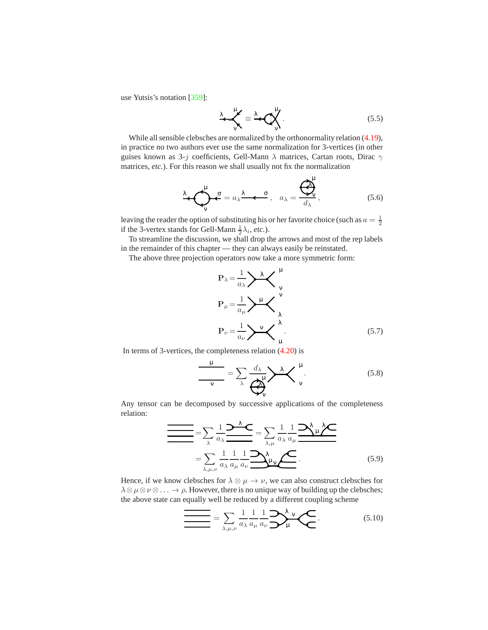use Yutsis's notation [359]:

$$
\lambda = \frac{\lambda}{\sqrt{N}} \equiv \frac{\lambda}{N} \sum_{\nu=1}^{N} .
$$
 (5.5)

While all sensible clebsches are normalized by the orthonormality relation (4.19), in practice no two authors ever use the same normalization for 3-vertices (in other guises known as 3-j coefficients, Gell-Mann  $\lambda$  matrices, Cartan roots, Dirac  $\gamma$ matrices, *etc.*). For this reason we shall usually not fix the normalization

$$
\lambda \cdot \bigodot_{\mathbf{v}}^{\mathbf{\mu}} \mathbf{c} = a_{\lambda} \frac{\lambda}{\lambda} \cdot \mathbf{c}, \quad a_{\lambda} = \frac{\overline{\bigodot}_{\mathbf{v}}^{\mathbf{\mu}}}{d_{\lambda}}, \tag{5.6}
$$

leaving the reader the option of substituting his or her favorite choice (such as  $a = \frac{1}{2}$ ) if the 3-vertex stands for Gell-Mann  $\frac{1}{2}\lambda_i$ , *etc*.).

To streamline the discussion, we shall drop the arrows and most of the rep labels in the remainder of this chapter — they can always easily be reinstated.

The above three projection operators now take a more symmetric form:

$$
\mathbf{P}_{\lambda} = \frac{1}{a_{\lambda}} \sum_{\mathbf{v}} \mathbf{v}
$$
\n
$$
\mathbf{P}_{\mu} = \frac{1}{a_{\mu}} \sum_{\mathbf{v}} \mathbf{v}
$$
\n
$$
\mathbf{P}_{\nu} = \frac{1}{a_{\nu}} \sum_{\mathbf{v}} \mathbf{v}
$$
\n(5.7)

In terms of 3-vertices, the completeness relation (4.20) is

$$
\frac{\mu}{\sqrt{v}} = \sum_{\lambda} \frac{d_{\lambda}}{v} \frac{\lambda}{\lambda} \left\langle \frac{\mu}{v} \right\rangle. \tag{5.8}
$$

Any tensor can be decomposed by successive applications of the completeness relation:

$$
\frac{1}{\sqrt{\sum_{\lambda} \frac{1}{a_{\lambda}} \sum_{\mu} \lambda_{\mu}}} = \sum_{\lambda} \frac{1}{a_{\lambda}} \frac{1}{a_{\lambda}} \frac{1}{a_{\mu}} \frac{1}{a_{\mu}} \frac{1}{a_{\mu}} \frac{1}{a_{\mu}} \frac{1}{a_{\mu}} \frac{1}{a_{\mu}} \frac{1}{a_{\mu}} \frac{1}{a_{\mu}} \frac{1}{a_{\mu}} \frac{1}{a_{\mu}} \frac{1}{a_{\mu}} \frac{1}{a_{\mu}} \frac{1}{a_{\mu}} \frac{1}{a_{\mu}} \frac{1}{a_{\mu}} \frac{1}{a_{\mu}} \frac{1}{a_{\mu}} \frac{1}{a_{\mu}} \frac{1}{a_{\mu}} \frac{1}{a_{\mu}} \frac{1}{a_{\mu}} \frac{1}{a_{\mu}} \frac{1}{a_{\mu}} \frac{1}{a_{\mu}} \frac{1}{a_{\mu}} \frac{1}{a_{\mu}} \frac{1}{a_{\mu}} \frac{1}{a_{\mu}} \frac{1}{a_{\mu}} \frac{1}{a_{\mu}} \frac{1}{a_{\mu}} \frac{1}{a_{\mu}} \frac{1}{a_{\mu}} \frac{1}{a_{\mu}} \frac{1}{a_{\mu}} \frac{1}{a_{\mu}} \frac{1}{a_{\mu}} \frac{1}{a_{\mu}} \frac{1}{a_{\mu}} \frac{1}{a_{\mu}} \frac{1}{a_{\mu}} \frac{1}{a_{\mu}} \frac{1}{a_{\mu}} \frac{1}{a_{\mu}} \frac{1}{a_{\mu}} \frac{1}{a_{\mu}} \frac{1}{a_{\mu}} \frac{1}{a_{\mu}} \frac{1}{a_{\mu}} \frac{1}{a_{\mu}} \frac{1}{a_{\mu}} \frac{1}{a_{\mu}} \frac{1}{a_{\mu}} \frac{1}{a_{\mu}} \frac{1}{a_{\mu}} \frac{1}{a_{\mu}} \frac{1}{a_{\mu}} \frac{1}{a_{\mu}} \frac{1}{a_{\mu}} \frac{1}{a_{\mu}} \frac{1}{a_{\mu}} \frac{1}{a_{\mu}} \frac{1}{a_{\mu}} \frac{1}{a_{\mu}} \frac{1}{a_{\mu}} \frac{1}{a_{\mu}} \frac{1}{a_{\mu}} \frac{1}{a_{\mu}} \frac{1}{a_{\mu}} \frac{1}{a_{\
$$

Hence, if we know clebsches for  $\lambda \otimes \mu \to \nu$ , we can also construct clebsches for  $\lambda \otimes \mu \otimes \nu \otimes \ldots \to \rho$ . However, there is no unique way of building up the clebsches; the above state can equally well be reduced by a different coupling scheme

$$
\sum_{\lambda,\mu,\nu} = \sum_{\lambda,\mu,\nu} \frac{1}{a_{\lambda}} \frac{1}{a_{\mu}} \frac{1}{a_{\nu}} \sum_{\mu}^{\lambda} \sum_{\mu} (5.10)
$$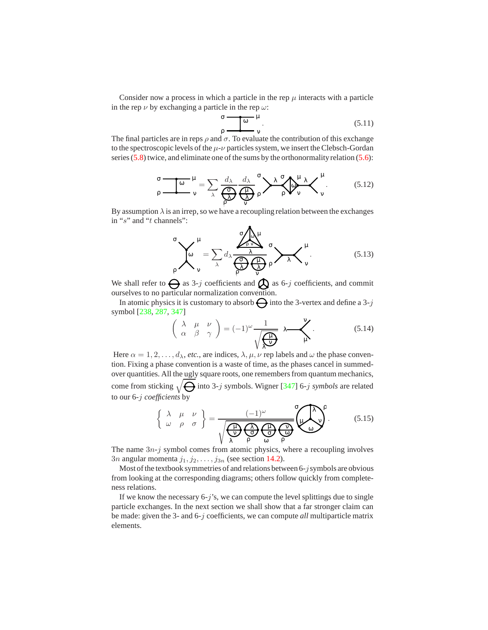Consider now a process in which a particle in the rep  $\mu$  interacts with a particle in the rep  $\nu$  by exchanging a particle in the rep  $\omega$ :

$$
\sigma \frac{\omega}{\rho} \frac{\mu}{\sqrt{1-\rho}}.
$$
\n(5.11)

The final particles are in reps  $\rho$  and  $\sigma$ . To evaluate the contribution of this exchange to the spectroscopic levels of the  $\mu$ - $\nu$  particles system, we insert the Clebsch-Gordan series (5.8) twice, and eliminate one of the sums by the orthonormality relation (5.6):

$$
\sigma \frac{\sigma}{\rho} = \frac{\sigma}{\rho} \frac{\mu}{\rho} = \sum_{\lambda} \frac{d_{\lambda}}{\rho} \frac{d_{\lambda}}{\rho} \frac{d_{\lambda}}{\rho} \rho \sum_{\rho} \lambda \frac{\sigma}{\rho} \sqrt{\frac{\mu}{\rho}} \lambda \sqrt{\frac{\mu}{\rho}}.
$$
 (5.12)

By assumption  $\lambda$  is an irrep, so we have a recoupling relation between the exchanges in "s" and "t channels":

$$
\sigma \left( \mu \right)_{\rho} = \sum_{\lambda} d_{\lambda} \frac{\sigma \left( \mu \right)_{\lambda}}{\sigma \left( \mu \right)} \sigma \left( \mu \right)_{\nu}
$$
(5.13)

We shall refer to  $\Theta$  as 3-j coefficients and  $\Theta$  as 6-j coefficients, and commit ourselves to no particular normalization convention.

In atomic physics it is customary to absorb  $\ominus$  into the 3-vertex and define a 3-j symbol [238, 287, 347]

$$
\left(\begin{array}{cc} \lambda & \mu & \nu \\ \alpha & \beta & \gamma \end{array}\right) = (-1)^{\omega} \frac{1}{\sqrt{\frac{\mu}{\chi \nu}}} \lambda \frac{\nu}{\mu}.
$$
 (5.14)

Here  $\alpha = 1, 2, \ldots, d_\lambda$ , *etc.*, are indices,  $\lambda, \mu, \nu$  rep labels and  $\omega$  the phase convention. Fixing a phase convention is a waste of time, as the phases cancel in summedover quantities. All the ugly square roots, one remembers from quantum mechanics, come from sticking  $\sqrt{\bigoplus}$  into 3-j symbols. Wigner [347] 6-j *symbols* are related to our 6-j *coefficients* by

$$
\left\{\begin{array}{cc} \lambda & \mu & \nu \\ \omega & \rho & \sigma \end{array}\right\} = \frac{(-1)^{\omega}}{\sqrt{\frac{\omega}{\lambda} \sum_{p}^{\omega} \frac{\omega}{\omega} \sum_{p}^{\omega} \frac{\omega}{\omega}}}
$$
(5.15)

The name  $3n-j$  symbol comes from atomic physics, where a recoupling involves 3n angular momenta  $j_1, j_2, \ldots, j_{3n}$  (see section 14.2).

Most of the textbook symmetries of and relations between 6-j symbols are obvious from looking at the corresponding diagrams; others follow quickly from completeness relations.

If we know the necessary  $6-j$ 's, we can compute the level splittings due to single particle exchanges. In the next section we shall show that a far stronger claim can be made: given the 3- and 6-j coefficients, we can compute *all* multiparticle matrix elements.